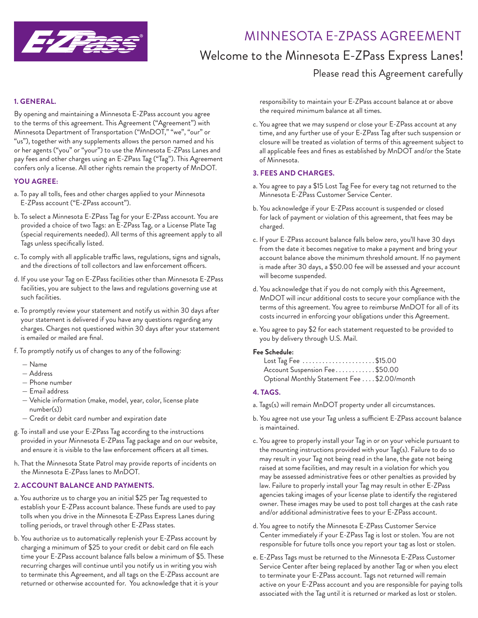

## MINNESOTA E-ZPASS AGREEMENT

## Welcome to the Minnesota E-ZPass Express Lanes!

### Please read this Agreement carefully

#### **1. GENERAL.**

By opening and maintaining a Minnesota E-ZPass account you agree to the terms of this agreement. This Agreement ("Agreement") with Minnesota Department of Transportation ("MnDOT," "we", "our" or "us"), together with any supplements allows the person named and his or her agents ("you" or "your") to use the Minnesota E-ZPass Lanes and pay fees and other charges using an E-ZPass Tag ("Tag"). This Agreement confers only a license. All other rights remain the property of MnDOT.

#### **YOU AGREE:**

- a. To pay all tolls, fees and other charges applied to your Minnesota E-ZPass account ("E-ZPass account").
- b. To select a Minnesota E-ZPass Tag for your E-ZPass account. You are provided a choice of two Tags: an E-ZPass Tag, or a License Plate Tag (special requirements needed). All terms of this agreement apply to all Tags unless specifically listed.
- c. To comply with all applicable traffic laws, regulations, signs and signals, and the directions of toll collectors and law enforcement officers.
- d. If you use your Tag on E-ZPass facilities other than Minnesota E-ZPass facilities, you are subject to the laws and regulations governing use at such facilities.
- e. To promptly review your statement and notify us within 30 days after your statement is delivered if you have any questions regarding any charges. Charges not questioned within 30 days after your statement is emailed or mailed are final.
- f. To promptly notify us of changes to any of the following:
	- Name
	- Address
	- Phone number
	- Email address
	- Vehicle information (make, model, year, color, license plate number(s))
	- Credit or debit card number and expiration date
- g. To install and use your E-ZPass Tag according to the instructions provided in your Minnesota E-ZPass Tag package and on our website, and ensure it is visible to the law enforcement officers at all times.
- h. That the Minnesota State Patrol may provide reports of incidents on the Minnesota E-ZPass lanes to MnDOT.

#### **2. ACCOUNT BALANCE AND PAYMENTS.**

- a. You authorize us to charge you an initial \$25 per Tag requested to establish your E-ZPass account balance. These funds are used to pay tolls when you drive in the Minnesota E-ZPass Express Lanes during tolling periods, or travel through other E-ZPass states.
- b. You authorize us to automatically replenish your E-ZPass account by charging a minimum of \$25 to your credit or debit card on file each time your E-ZPass account balance falls below a minimum of \$5. These recurring charges will continue until you notify us in writing you wish to terminate this Agreement, and all tags on the E-ZPass account are returned or otherwise accounted for. You acknowledge that it is your

responsibility to maintain your E-ZPass account balance at or above the required minimum balance at all times.

c. You agree that we may suspend or close your E-ZPass account at any time, and any further use of your E-ZPass Tag after such suspension or closure will be treated as violation of terms of this agreement subject to all applicable fees and fines as established by MnDOT and/or the State of Minnesota.

#### **3. FEES AND CHARGES.**

- a. You agree to pay a \$15 Lost Tag Fee for every tag not returned to the Minnesota E-ZPass Customer Service Center.
- b. You acknowledge if your E-ZPass account is suspended or closed for lack of payment or violation of this agreement, that fees may be charged.
- c. If your E-ZPass account balance falls below zero, you'll have 30 days from the date it becomes negative to make a payment and bring your account balance above the minimum threshold amount. If no payment is made after 30 days, a \$50.00 fee will be assessed and your account will become suspended.
- d. You acknowledge that if you do not comply with this Agreement, MnDOT will incur additional costs to secure your compliance with the terms of this agreement. You agree to reimburse MnDOT for all of its costs incurred in enforcing your obligations under this Agreement.
- e. You agree to pay \$2 for each statement requested to be provided to you by delivery through U.S. Mail.

#### **Fee Schedule:**

| Lost Tag Fee $\ldots \ldots \ldots \ldots \ldots \ldots$ \$15.00 |  |
|------------------------------------------------------------------|--|
| Account Suspension Fee\$50.00                                    |  |
| Optional Monthly Statement Fee \$2.00/month                      |  |

#### **4. TAGS.**

- a. Tags(s) will remain MnDOT property under all circumstances.
- b. You agree not use your Tag unless a sufficient E-ZPass account balance is maintained.
- c. You agree to properly install your Tag in or on your vehicle pursuant to the mounting instructions provided with your Tag(s). Failure to do so may result in your Tag not being read in the lane, the gate not being raised at some facilities, and may result in a violation for which you may be assessed administrative fees or other penalties as provided by law. Failure to properly install your Tag may result in other E-ZPass agencies taking images of your license plate to identify the registered owner. These images may be used to post toll charges at the cash rate and/or additional administrative fees to your E-ZPass account.
- d. You agree to notify the Minnesota E-ZPass Customer Service Center immediately if your E-ZPass Tag is lost or stolen. You are not responsible for future tolls once you report your tag as lost or stolen.
- e. E-ZPass Tags must be returned to the Minnesota E-ZPass Customer Service Center after being replaced by another Tag or when you elect to terminate your E-ZPass account. Tags not returned will remain active on your E-ZPass account and you are responsible for paying tolls associated with the Tag until it is returned or marked as lost or stolen.